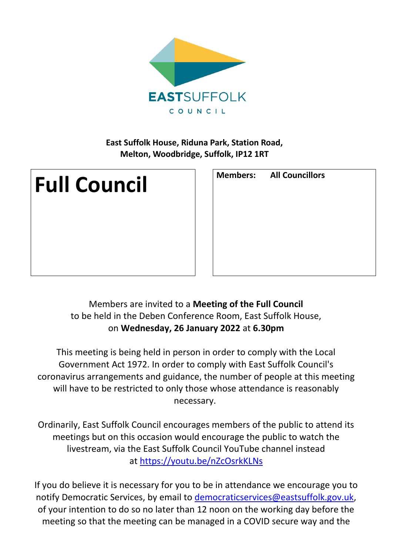

# **East Suffolk House, Riduna Park, Station Road, Melton, Woodbridge, Suffolk, IP12 1RT**



| <b>Members:</b> All Councillors |
|---------------------------------|
|                                 |
|                                 |
|                                 |
|                                 |
|                                 |
|                                 |

# Members are invited to a **Meeting of the Full Council** to be held in the Deben Conference Room, East Suffolk House, on **Wednesday, 26 January 2022** at **6.30pm**

This meeting is being held in person in order to comply with the Local Government Act 1972. In order to comply with East Suffolk Council's coronavirus arrangements and guidance, the number of people at this meeting will have to be restricted to only those whose attendance is reasonably necessary.

Ordinarily, East Suffolk Council encourages members of the public to attend its meetings but on this occasion would encourage the public to watch the livestream, via the East Suffolk Council YouTube channel instead at <https://youtu.be/nZcOsrkKLNs>

If you do believe it is necessary for you to be in attendance we encourage you to notify Democratic Services, by email to [democraticservices@eastsuffolk.gov.uk,](mailto:democraticservices@eastsuffolk.gov.uk) of your intention to do so no later than 12 noon on the working day before the meeting so that the meeting can be managed in a COVID secure way and the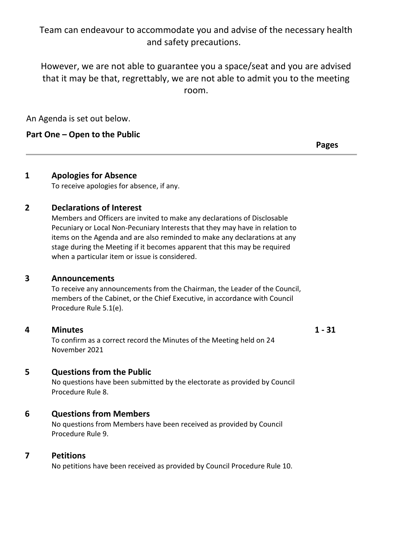# Team can endeavour to accommodate you and advise of the necessary health and safety precautions.

However, we are not able to guarantee you a space/seat and you are advised that it may be that, regrettably, we are not able to admit you to the meeting room.

An Agenda is set out below.

# **Part One – Open to the Public**

**Pages**

# **1 Apologies for Absence**

To receive apologies for absence, if any.

# **2 Declarations of Interest**

Members and Officers are invited to make any declarations of Disclosable Pecuniary or Local Non-Pecuniary Interests that they may have in relation to items on the Agenda and are also reminded to make any declarations at any stage during the Meeting if it becomes apparent that this may be required when a particular item or issue is considered.

### **3 Announcements**

To receive any announcements from the Chairman, the Leader of the Council, members of the Cabinet, or the Chief Executive, in accordance with Council Procedure Rule 5.1(e).

## **4 Minutes**

To confirm as a correct record the Minutes of the Meeting held on 24 November 2021

#### **1 - 31**

**5 Questions from the Public**

No questions have been submitted by the electorate as provided by Council Procedure Rule 8.

## **6 Questions from Members**

No questions from Members have been received as provided by Council Procedure Rule 9.

## **7 Petitions**

No petitions have been received as provided by Council Procedure Rule 10.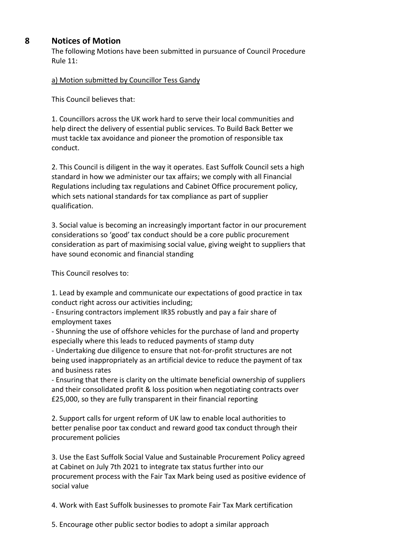### **8 Notices of Motion**

The following Motions have been submitted in pursuance of Council Procedure Rule 11:

a) Motion submitted by Councillor Tess Gandy

This Council believes that:

1. Councillors across the UK work hard to serve their local communities and help direct the delivery of essential public services. To Build Back Better we must tackle tax avoidance and pioneer the promotion of responsible tax conduct.

2. This Council is diligent in the way it operates. East Suffolk Council sets a high standard in how we administer our tax affairs; we comply with all Financial Regulations including tax regulations and Cabinet Office procurement policy, which sets national standards for tax compliance as part of supplier qualification.

3. Social value is becoming an increasingly important factor in our procurement considerations so 'good' tax conduct should be a core public procurement consideration as part of maximising social value, giving weight to suppliers that have sound economic and financial standing

This Council resolves to:

1. Lead by example and communicate our expectations of good practice in tax conduct right across our activities including;

- Ensuring contractors implement IR35 robustly and pay a fair share of employment taxes

- Shunning the use of offshore vehicles for the purchase of land and property especially where this leads to reduced payments of stamp duty

- Undertaking due diligence to ensure that not-for-profit structures are not being used inappropriately as an artificial device to reduce the payment of tax and business rates

- Ensuring that there is clarity on the ultimate beneficial ownership of suppliers and their consolidated profit & loss position when negotiating contracts over £25,000, so they are fully transparent in their financial reporting

2. Support calls for urgent reform of UK law to enable local authorities to better penalise poor tax conduct and reward good tax conduct through their procurement policies

3. Use the East Suffolk Social Value and Sustainable Procurement Policy agreed at Cabinet on July 7th 2021 to integrate tax status further into our procurement process with the Fair Tax Mark being used as positive evidence of social value

4. Work with East Suffolk businesses to promote Fair Tax Mark certification

5. Encourage other public sector bodies to adopt a similar approach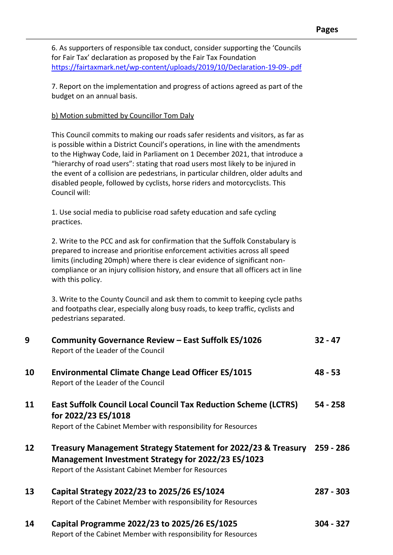6. As supporters of responsible tax conduct, consider supporting the 'Councils for Fair Tax' declaration as proposed by the Fair Tax Foundation <https://fairtaxmark.net/wp-content/uploads/2019/10/Declaration-19-09-.pdf>

7. Report on the implementation and progress of actions agreed as part of the budget on an annual basis.

#### b) Motion submitted by Councillor Tom Daly

This Council commits to making our roads safer residents and visitors, as far as is possible within a District Council's operations, in line with the amendments to the Highway Code, laid in Parliament on 1 December 2021, that introduce a "hierarchy of road users": stating that road users most likely to be injured in the event of a collision are pedestrians, in particular children, older adults and disabled people, followed by cyclists, horse riders and motorcyclists. This Council will:

1. Use social media to publicise road safety education and safe cycling practices.

2. Write to the PCC and ask for confirmation that the Suffolk Constabulary is prepared to increase and prioritise enforcement activities across all speed limits (including 20mph) where there is clear evidence of significant noncompliance or an injury collision history, and ensure that all officers act in line with this policy.

3. Write to the County Council and ask them to commit to keeping cycle paths and footpaths clear, especially along busy roads, to keep traffic, cyclists and pedestrians separated.

| 9                 | Community Governance Review - East Suffolk ES/1026<br>Report of the Leader of the Council                                                                                   | $32 - 47$  |
|-------------------|-----------------------------------------------------------------------------------------------------------------------------------------------------------------------------|------------|
| 10                | <b>Environmental Climate Change Lead Officer ES/1015</b><br>Report of the Leader of the Council                                                                             | $48 - 53$  |
| 11                | <b>East Suffolk Council Local Council Tax Reduction Scheme (LCTRS)</b><br>for 2022/23 ES/1018<br>Report of the Cabinet Member with responsibility for Resources             | $54 - 258$ |
| $12 \overline{ }$ | Treasury Management Strategy Statement for 2022/23 & Treasury<br>Management Investment Strategy for 2022/23 ES/1023<br>Report of the Assistant Cabinet Member for Resources | 259 - 286  |
| 13                | Capital Strategy 2022/23 to 2025/26 ES/1024<br>Report of the Cabinet Member with responsibility for Resources                                                               | 287 - 303  |
| 14                | Capital Programme 2022/23 to 2025/26 ES/1025<br>Dan ant af tha Cabinat Mandrau, dib namar dhilit. fan Daaa, m                                                               | 304 - 327  |

Report of the Cabinet Member with responsibility for Resources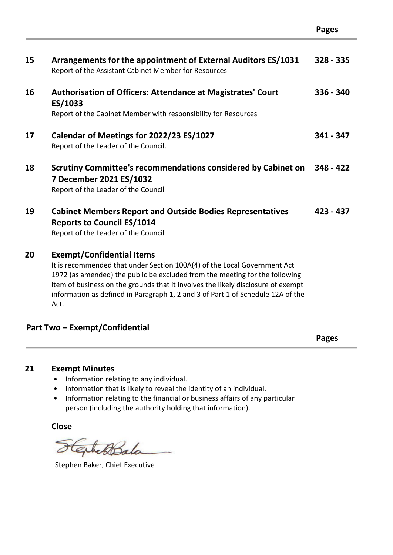| 15 | Arrangements for the appointment of External Auditors ES/1031<br>Report of the Assistant Cabinet Member for Resources                                                                                                                                                                                                                                                      | $328 - 335$ |
|----|----------------------------------------------------------------------------------------------------------------------------------------------------------------------------------------------------------------------------------------------------------------------------------------------------------------------------------------------------------------------------|-------------|
| 16 | <b>Authorisation of Officers: Attendance at Magistrates' Court</b><br>ES/1033<br>Report of the Cabinet Member with responsibility for Resources                                                                                                                                                                                                                            | $336 - 340$ |
| 17 | Calendar of Meetings for 2022/23 ES/1027<br>Report of the Leader of the Council.                                                                                                                                                                                                                                                                                           | $341 - 347$ |
| 18 | Scrutiny Committee's recommendations considered by Cabinet on<br>7 December 2021 ES/1032<br>Report of the Leader of the Council                                                                                                                                                                                                                                            | $348 - 422$ |
| 19 | <b>Cabinet Members Report and Outside Bodies Representatives</b><br><b>Reports to Council ES/1014</b><br>Report of the Leader of the Council                                                                                                                                                                                                                               | $423 - 437$ |
| 20 | <b>Exempt/Confidential Items</b><br>It is recommended that under Section 100A(4) of the Local Government Act<br>1972 (as amended) the public be excluded from the meeting for the following<br>item of business on the grounds that it involves the likely disclosure of exempt<br>information as defined in Paragraph 1, 2 and 3 of Part 1 of Schedule 12A of the<br>Act. |             |

## **Part Two – Exempt/Confidential**

**Pages** 

### **21 Exempt Minutes**

- Information relating to any individual.
- Information that is likely to reveal the identity of an individual.
- Information relating to the financial or business affairs of any particular person (including the authority holding that information).

**Close**

ExhetBala

Stephen Baker, Chief Executive